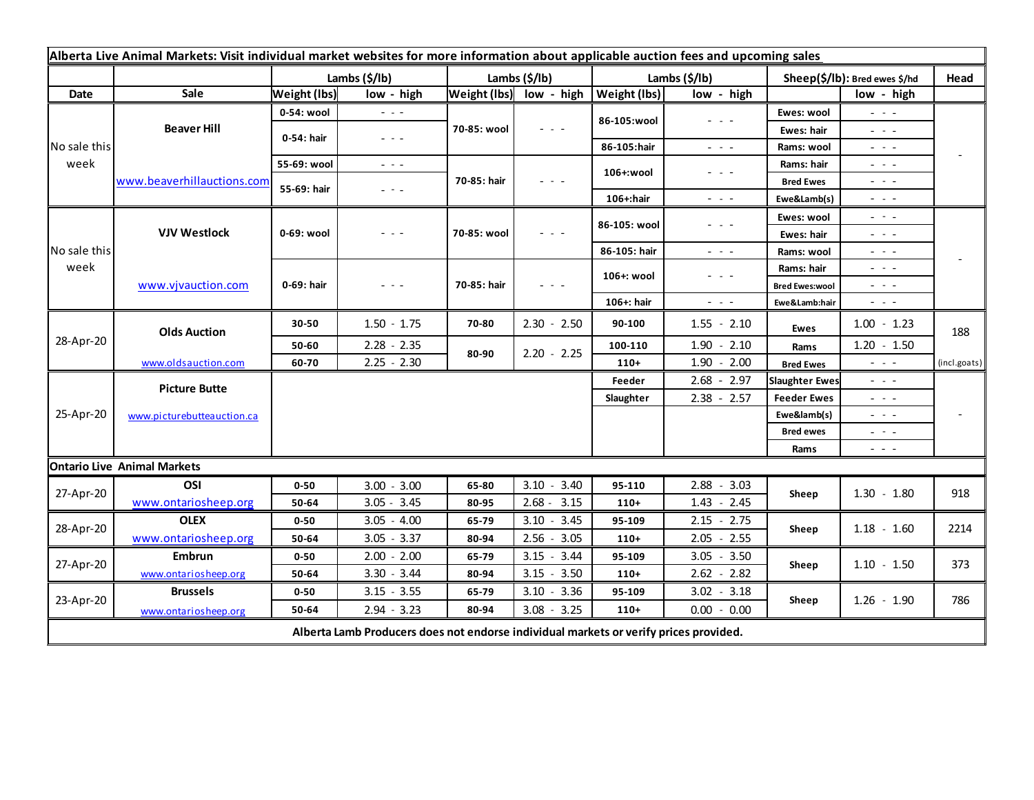| Alberta Live Animal Markets: Visit individual market websites for more information about applicable auction fees and upcoming sales |                                    |                     |                                                                                                                        |               |                         |                     |                                                                                                                                                                                                                                                                                                                                                                                                                                                |                               |                                     |              |
|-------------------------------------------------------------------------------------------------------------------------------------|------------------------------------|---------------------|------------------------------------------------------------------------------------------------------------------------|---------------|-------------------------|---------------------|------------------------------------------------------------------------------------------------------------------------------------------------------------------------------------------------------------------------------------------------------------------------------------------------------------------------------------------------------------------------------------------------------------------------------------------------|-------------------------------|-------------------------------------|--------------|
|                                                                                                                                     |                                    | Lambs (\$/lb)       |                                                                                                                        | Lambs (\$/lb) |                         | Lambs (\$/lb)       |                                                                                                                                                                                                                                                                                                                                                                                                                                                | Sheep(\$/lb): Bred ewes \$/hd |                                     | Head         |
| Date                                                                                                                                | Sale                               | <b>Weight (lbs)</b> | low - high                                                                                                             |               | Weight (lbs) low - high | <b>Weight (lbs)</b> | low - high                                                                                                                                                                                                                                                                                                                                                                                                                                     |                               | low - high                          |              |
| No sale this<br>week                                                                                                                | <b>Beaver Hill</b>                 | 0-54: wool          | $  -$                                                                                                                  | 70-85: wool   | $  -$                   | 86-105:wool         | $\frac{1}{2} \left( \frac{1}{2} \right) + \frac{1}{2} \left( \frac{1}{2} \right) + \frac{1}{2} \left( \frac{1}{2} \right) + \frac{1}{2} \left( \frac{1}{2} \right) + \frac{1}{2} \left( \frac{1}{2} \right) + \frac{1}{2} \left( \frac{1}{2} \right) + \frac{1}{2} \left( \frac{1}{2} \right) + \frac{1}{2} \left( \frac{1}{2} \right) + \frac{1}{2} \left( \frac{1}{2} \right) + \frac{1}{2} \left( \frac{1}{2} \right) + \frac{1}{2} \left($ | Ewes: wool                    | $\omega_{\rm c}$ , $\omega_{\rm c}$ |              |
|                                                                                                                                     |                                    | 0-54: hair          | $\frac{1}{2} \left( \frac{1}{2} \right) \frac{1}{2} \left( \frac{1}{2} \right) \frac{1}{2} \left( \frac{1}{2} \right)$ |               |                         |                     |                                                                                                                                                                                                                                                                                                                                                                                                                                                | Ewes: hair                    | $  -$                               |              |
|                                                                                                                                     |                                    |                     |                                                                                                                        |               |                         | 86-105:hair         | $\frac{1}{2} \left( \frac{1}{2} \right) = \frac{1}{2} \left( \frac{1}{2} \right)$                                                                                                                                                                                                                                                                                                                                                              | Rams: wool                    | $  -$                               |              |
|                                                                                                                                     | www.beaverhillauctions.com         | 55-69: wool         | $\frac{1}{2} \left( \frac{1}{2} \right) \frac{1}{2} \left( \frac{1}{2} \right) \frac{1}{2} \left( \frac{1}{2} \right)$ | 70-85: hair   | - - -                   | 106+:wool           | $  -$                                                                                                                                                                                                                                                                                                                                                                                                                                          | Rams: hair                    | $  -$                               |              |
|                                                                                                                                     |                                    | 55-69: hair         | - - -                                                                                                                  |               |                         |                     |                                                                                                                                                                                                                                                                                                                                                                                                                                                | <b>Bred Ewes</b>              | $  -$                               |              |
|                                                                                                                                     |                                    |                     |                                                                                                                        |               |                         | 106+:hair           | $ -$                                                                                                                                                                                                                                                                                                                                                                                                                                           | Ewe&Lamb(s)                   | - - -                               |              |
| No sale this<br>week                                                                                                                | <b>VJV Westlock</b>                | 0-69: wool          | - - -                                                                                                                  | 70-85: wool   | $  -$                   | 86-105: wool        | $  -$                                                                                                                                                                                                                                                                                                                                                                                                                                          | Ewes: wool                    | $  -$                               |              |
|                                                                                                                                     |                                    |                     |                                                                                                                        |               |                         |                     |                                                                                                                                                                                                                                                                                                                                                                                                                                                | Ewes: hair                    | $  -$                               |              |
|                                                                                                                                     |                                    |                     |                                                                                                                        |               |                         | 86-105: hair        | $\sim$ $\sim$ $\sim$                                                                                                                                                                                                                                                                                                                                                                                                                           | Rams: wool                    | $  -$                               |              |
|                                                                                                                                     | www.vjvauction.com                 | 0-69: hair          | $  -$                                                                                                                  | 70-85: hair   | $  -$                   | 106+: wool          | $  -$                                                                                                                                                                                                                                                                                                                                                                                                                                          | Rams: hair                    | $  -$                               |              |
|                                                                                                                                     |                                    |                     |                                                                                                                        |               |                         |                     |                                                                                                                                                                                                                                                                                                                                                                                                                                                | <b>Bred Ewes:wool</b>         | $  -$                               |              |
|                                                                                                                                     |                                    |                     |                                                                                                                        |               |                         | 106+: hair          | $\frac{1}{2} \left( \frac{1}{2} \right) \left( \frac{1}{2} \right) \left( \frac{1}{2} \right)$                                                                                                                                                                                                                                                                                                                                                 | Ewe&Lamb:hair                 | - - -                               |              |
| 28-Apr-20                                                                                                                           | <b>Olds Auction</b>                | 30-50               | $1.50 - 1.75$                                                                                                          | 70-80         | $2.30 - 2.50$           | 90-100              | $1.55 - 2.10$                                                                                                                                                                                                                                                                                                                                                                                                                                  | Ewes                          | $1.00 - 1.23$                       | 188          |
|                                                                                                                                     |                                    | 50-60               | $2.28 - 2.35$                                                                                                          | 80-90         | $2.20 - 2.25$           | 100-110             | $1.90 - 2.10$                                                                                                                                                                                                                                                                                                                                                                                                                                  | Rams                          | $1.20 - 1.50$                       |              |
|                                                                                                                                     | www.oldsauction.com                | 60-70               | $2.25 - 2.30$                                                                                                          |               |                         | $110+$              | $1.90 - 2.00$                                                                                                                                                                                                                                                                                                                                                                                                                                  | <b>Bred Ewes</b>              | $ -$                                | (incl.goats) |
| 25-Apr-20                                                                                                                           | <b>Picture Butte</b>               |                     |                                                                                                                        |               |                         | Feeder              | $2.68 - 2.97$                                                                                                                                                                                                                                                                                                                                                                                                                                  | <b>Slaughter Ewes</b>         | .                                   |              |
|                                                                                                                                     | www.picturebutteauction.ca         |                     |                                                                                                                        |               |                         | Slaughter           | $2.38 - 2.57$                                                                                                                                                                                                                                                                                                                                                                                                                                  | <b>Feeder Ewes</b>            | $  -$                               |              |
|                                                                                                                                     |                                    |                     |                                                                                                                        |               |                         |                     |                                                                                                                                                                                                                                                                                                                                                                                                                                                | Ewe&lamb(s)                   | $  -$                               |              |
|                                                                                                                                     |                                    |                     |                                                                                                                        |               |                         |                     |                                                                                                                                                                                                                                                                                                                                                                                                                                                | <b>Bred ewes</b>              | $  -$                               |              |
|                                                                                                                                     |                                    |                     |                                                                                                                        |               |                         |                     |                                                                                                                                                                                                                                                                                                                                                                                                                                                | Rams                          | $  -$                               |              |
|                                                                                                                                     | <b>Ontario Live Animal Markets</b> |                     |                                                                                                                        |               |                         |                     |                                                                                                                                                                                                                                                                                                                                                                                                                                                |                               |                                     |              |
| 27-Apr-20                                                                                                                           | OSI                                | $0 - 50$            | $3.00 - 3.00$                                                                                                          | 65-80         | $3.10 - 3.40$           | 95-110              | $2.88 - 3.03$                                                                                                                                                                                                                                                                                                                                                                                                                                  | Sheep                         | $1.30 - 1.80$                       | 918          |
|                                                                                                                                     | www.ontariosheep.org               | 50-64               | $3.05 - 3.45$                                                                                                          | 80-95         | $2.68 - 3.15$           | $110+$              | $1.43 - 2.45$                                                                                                                                                                                                                                                                                                                                                                                                                                  |                               |                                     |              |
| 28-Apr-20                                                                                                                           | <b>OLEX</b>                        | $0 - 50$            | $3.05 - 4.00$                                                                                                          | 65-79         | $3.10 - 3.45$           | 95-109              | $2.15 - 2.75$                                                                                                                                                                                                                                                                                                                                                                                                                                  | Sheep                         | $1.18 - 1.60$                       | 2214         |
|                                                                                                                                     | www.ontariosheep.org               | 50-64               | $3.05 - 3.37$                                                                                                          | 80-94         | 2.56<br>$-3.05$         | $110+$              | $2.05 - 2.55$                                                                                                                                                                                                                                                                                                                                                                                                                                  |                               |                                     |              |
| 27-Apr-20                                                                                                                           | Embrun                             | $0 - 50$            | $2.00 - 2.00$                                                                                                          | 65-79         | $3.15 - 3.44$           | 95-109              | $3.05 - 3.50$                                                                                                                                                                                                                                                                                                                                                                                                                                  | Sheep                         | $1.10 - 1.50$                       | 373          |
|                                                                                                                                     | www.ontariosheep.org               | 50-64               | $3.30 - 3.44$                                                                                                          | 80-94         | $3.15 - 3.50$           | $110+$              | $2.62 - 2.82$                                                                                                                                                                                                                                                                                                                                                                                                                                  |                               |                                     |              |
| 23-Apr-20                                                                                                                           | <b>Brussels</b>                    | $0 - 50$            | $3.15 - 3.55$                                                                                                          | 65-79         | $3.10 - 3.36$           | 95-109              | $3.02 - 3.18$                                                                                                                                                                                                                                                                                                                                                                                                                                  | Sheep                         | $1.26 - 1.90$                       | 786          |
|                                                                                                                                     | www.ontariosheep.org               | 50-64               | $2.94 - 3.23$                                                                                                          | 80-94         | $3.08 - 3.25$           | $110+$              | $0.00 - 0.00$                                                                                                                                                                                                                                                                                                                                                                                                                                  |                               |                                     |              |
| Alberta Lamb Producers does not endorse individual markets or verify prices provided.                                               |                                    |                     |                                                                                                                        |               |                         |                     |                                                                                                                                                                                                                                                                                                                                                                                                                                                |                               |                                     |              |